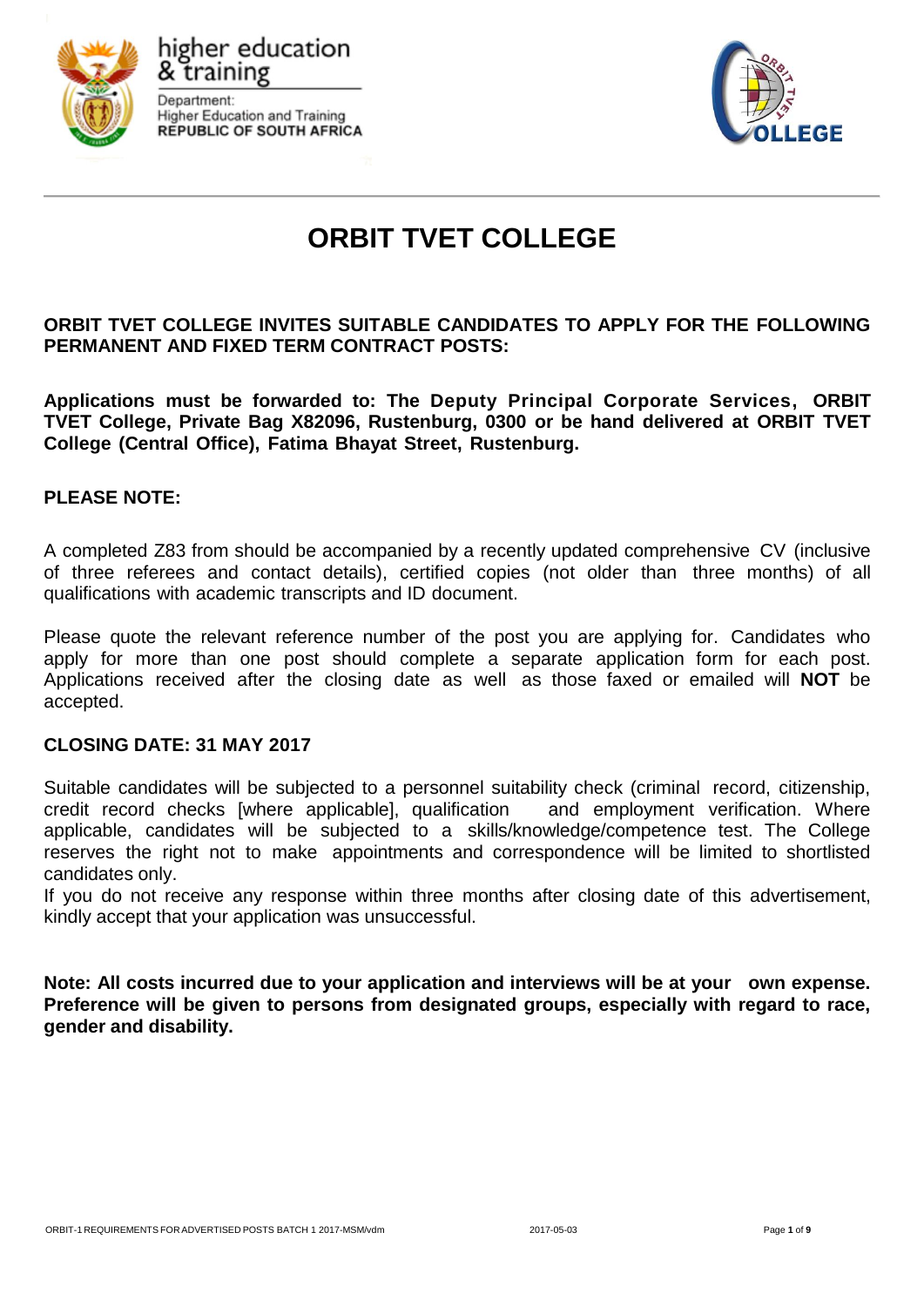





# **ORBIT TVET COLLEGE**

# **ORBIT TVET COLLEGE INVITES SUITABLE CANDIDATES TO APPLY FOR THE FOLLOWING PERMANENT AND FIXED TERM CONTRACT POSTS:**

**Applications must be forwarded to: The Deputy Principal Corporate Services, ORBIT TVET College, Private Bag X82096, Rustenburg, 0300 or be hand delivered at ORBIT TVET College (Central Office), Fatima Bhayat Street, Rustenburg.**

# **PLEASE NOTE:**

A completed Z83 from should be accompanied by a recently updated comprehensive CV (inclusive of three referees and contact details), certified copies (not older than three months) of all qualifications with academic transcripts and ID document.

Please quote the relevant reference number of the post you are applying for. Candidates who apply for more than one post should complete a separate application form for each post. Applications received after the closing date as well as those faxed or emailed will **NOT** be accepted.

#### **CLOSING DATE: 31 MAY 2017**

Suitable candidates will be subjected to a personnel suitability check (criminal record, citizenship, credit record checks [where applicable], qualification and employment verification. Where applicable, candidates will be subjected to a skills/knowledge/competence test. The College reserves the right not to make appointments and correspondence will be limited to shortlisted candidates only.

If you do not receive any response within three months after closing date of this advertisement, kindly accept that your application was unsuccessful.

**Note: All costs incurred due to your application and interviews will be at your own expense. Preference will be given to persons from designated groups, especially with regard to race, gender and disability.**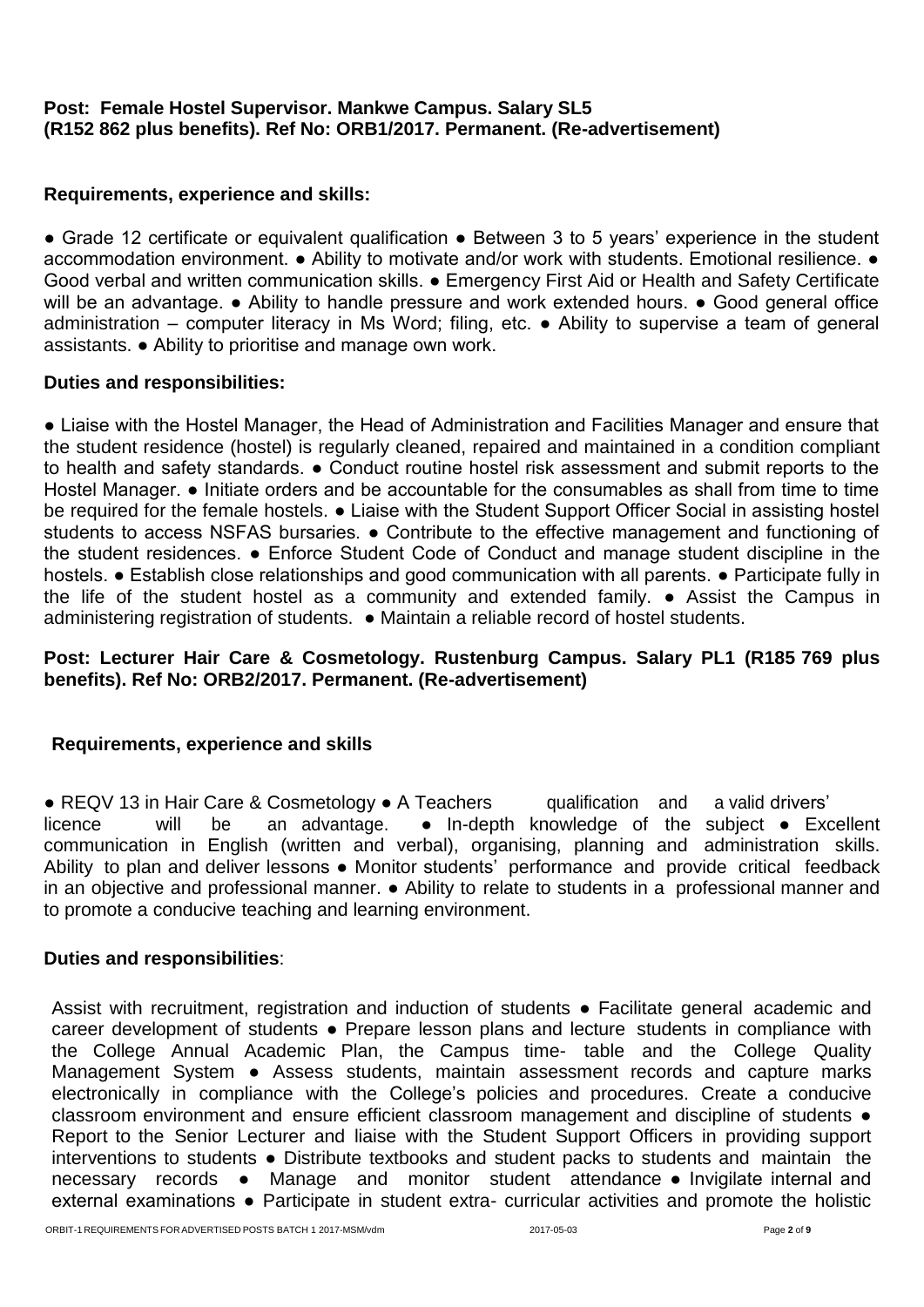# **Post: Female Hostel Supervisor. Mankwe Campus. Salary SL5 (R152 862 plus benefits). Ref No: ORB1/2017. Permanent. (Re-advertisement)**

# **Requirements, experience and skills:**

● Grade 12 certificate or equivalent qualification ● Between 3 to 5 years' experience in the student accommodation environment. ● Ability to motivate and/or work with students. Emotional resilience. ● Good verbal and written communication skills. ● Emergency First Aid or Health and Safety Certificate will be an advantage. ● Ability to handle pressure and work extended hours. ● Good general office administration – computer literacy in Ms Word; filing, etc. ● Ability to supervise a team of general assistants. ● Ability to prioritise and manage own work.

# **Duties and responsibilities:**

● Liaise with the Hostel Manager, the Head of Administration and Facilities Manager and ensure that the student residence (hostel) is regularly cleaned, repaired and maintained in a condition compliant to health and safety standards. ● Conduct routine hostel risk assessment and submit reports to the Hostel Manager. ● Initiate orders and be accountable for the consumables as shall from time to time be required for the female hostels.  $\bullet$  Liaise with the Student Support Officer Social in assisting hostel students to access NSFAS bursaries.  $\bullet$  Contribute to the effective management and functioning of the student residences. ● Enforce Student Code of Conduct and manage student discipline in the hostels. ● Establish close relationships and good communication with all parents. ● Participate fully in the life of the student hostel as a community and extended family. ● Assist the Campus in administering registration of students. ● Maintain a reliable record of hostel students.

# **Post: Lecturer Hair Care & Cosmetology. Rustenburg Campus. Salary PL1 (R185 769 plus benefits). Ref No: ORB2/2017. Permanent. (Re-advertisement)**

# **Requirements, experience and skills**

● REQV 13 in Hair Care & Cosmetology ● A Teachers qualification and a valid drivers' licence will be an advantage. ● In-depth knowledge of the subject ● Fxc will be an advantage.  $\bullet$  In-depth knowledge of the subject  $\bullet$  Excellent communication in English (written and verbal), organising, planning and administration skills. Ability to plan and deliver lessons ● Monitor students' performance and provide critical feedback in an objective and professional manner. ● Ability to relate to students in a professional manner and to promote a conducive teaching and learning environment.

#### **Duties and responsibilities**:

Assist with recruitment, registration and induction of students • Facilitate general academic and career development of students ● Prepare lesson plans and lecture students in compliance with the College Annual Academic Plan, the Campus time- table and the College Quality Management System • Assess students, maintain assessment records and capture marks electronically in compliance with the College's policies and procedures. Create a conducive classroom environment and ensure efficient classroom management and discipline of students  $\bullet$ Report to the Senior Lecturer and liaise with the Student Support Officers in providing support interventions to students ● Distribute textbooks and student packs to students and maintain the necessary records ● Manage and monitor student attendance ● Invigilate internal and external examinations • Participate in student extra- curricular activities and promote the holistic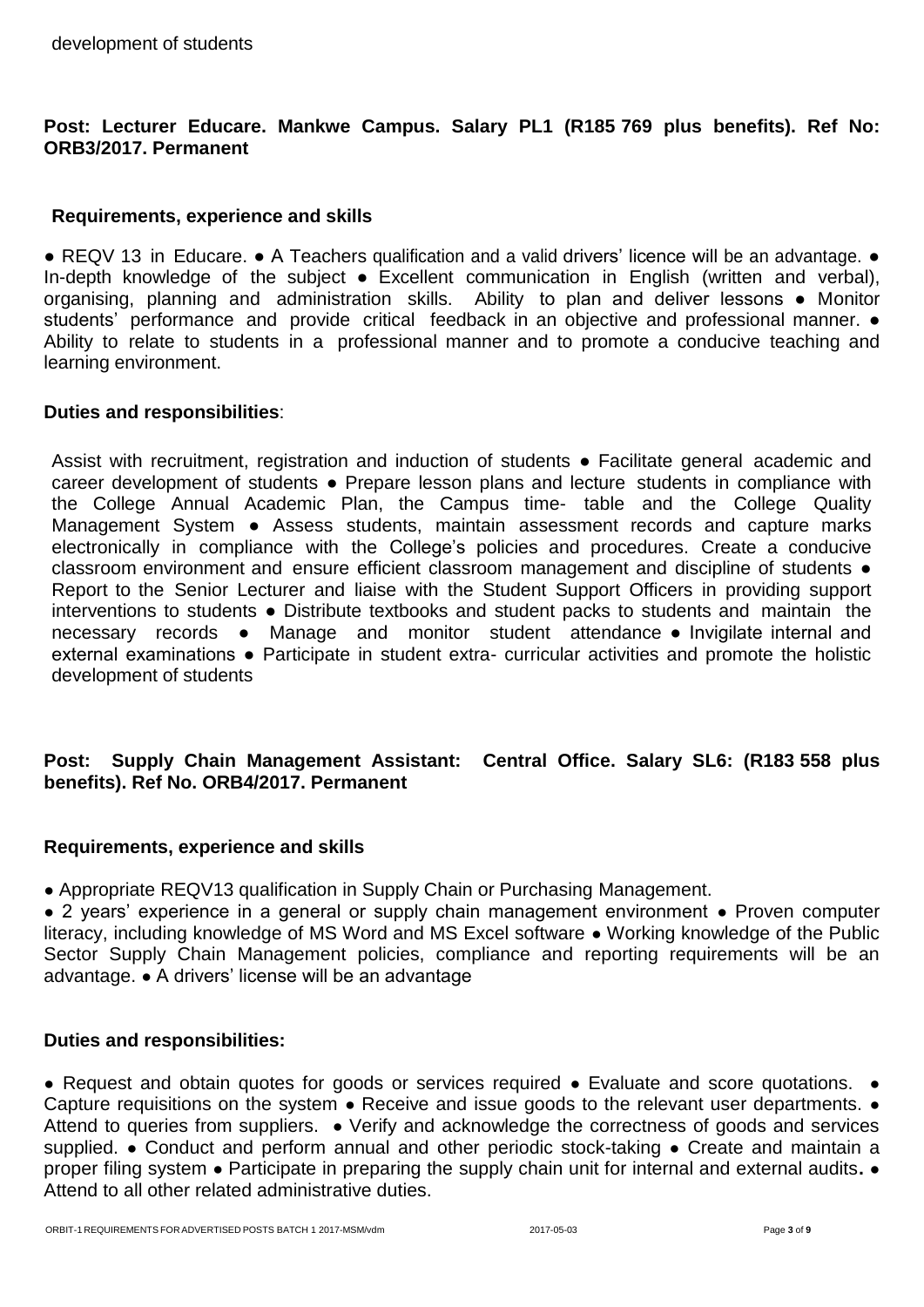# **Post: Lecturer Educare. Mankwe Campus. Salary PL1 (R185 769 plus benefits). Ref No: ORB3/2017. Permanent**

#### **Requirements, experience and skills**

● REQV 13 in Educare. ● A Teachers qualification and a valid drivers' licence will be an advantage. ● In-depth knowledge of the subject • Excellent communication in English (written and verbal), organising, planning and administration skills. Ability to plan and deliver lessons ● Monitor students' performance and provide critical feedback in an objective and professional manner.  $\bullet$ Ability to relate to students in a professional manner and to promote a conducive teaching and learning environment.

#### **Duties and responsibilities**:

Assist with recruitment, registration and induction of students ● Facilitate general academic and career development of students ● Prepare lesson plans and lecture students in compliance with the College Annual Academic Plan, the Campus time- table and the College Quality Management System ● Assess students, maintain assessment records and capture marks electronically in compliance with the College's policies and procedures. Create a conducive classroom environment and ensure efficient classroom management and discipline of students  $\bullet$ Report to the Senior Lecturer and liaise with the Student Support Officers in providing support interventions to students ● Distribute textbooks and student packs to students and maintain the necessary records ● Manage and monitor student attendance ● Invigilate internal and external examinations • Participate in student extra- curricular activities and promote the holistic development of students

# **Post: Supply Chain Management Assistant: Central Office. Salary SL6: (R183 558 plus benefits). Ref No. ORB4/2017. Permanent**

# **Requirements, experience and skills**

• Appropriate REQV13 qualification in Supply Chain or Purchasing Management.

● 2 years' experience in a general or supply chain management environment ● Proven computer literacy, including knowledge of MS Word and MS Excel software ● Working knowledge of the Public Sector Supply Chain Management policies, compliance and reporting requirements will be an advantage. ● A drivers' license will be an advantage

#### **Duties and responsibilities:**

● Request and obtain quotes for goods or services required ● Evaluate and score quotations. ● Capture requisitions on the system • Receive and issue goods to the relevant user departments. • Attend to queries from suppliers. ● Verify and acknowledge the correctness of goods and services supplied. • Conduct and perform annual and other periodic stock-taking • Create and maintain a proper filing system ● Participate in preparing the supply chain unit for internal and external audits**.** ● Attend to all other related administrative duties.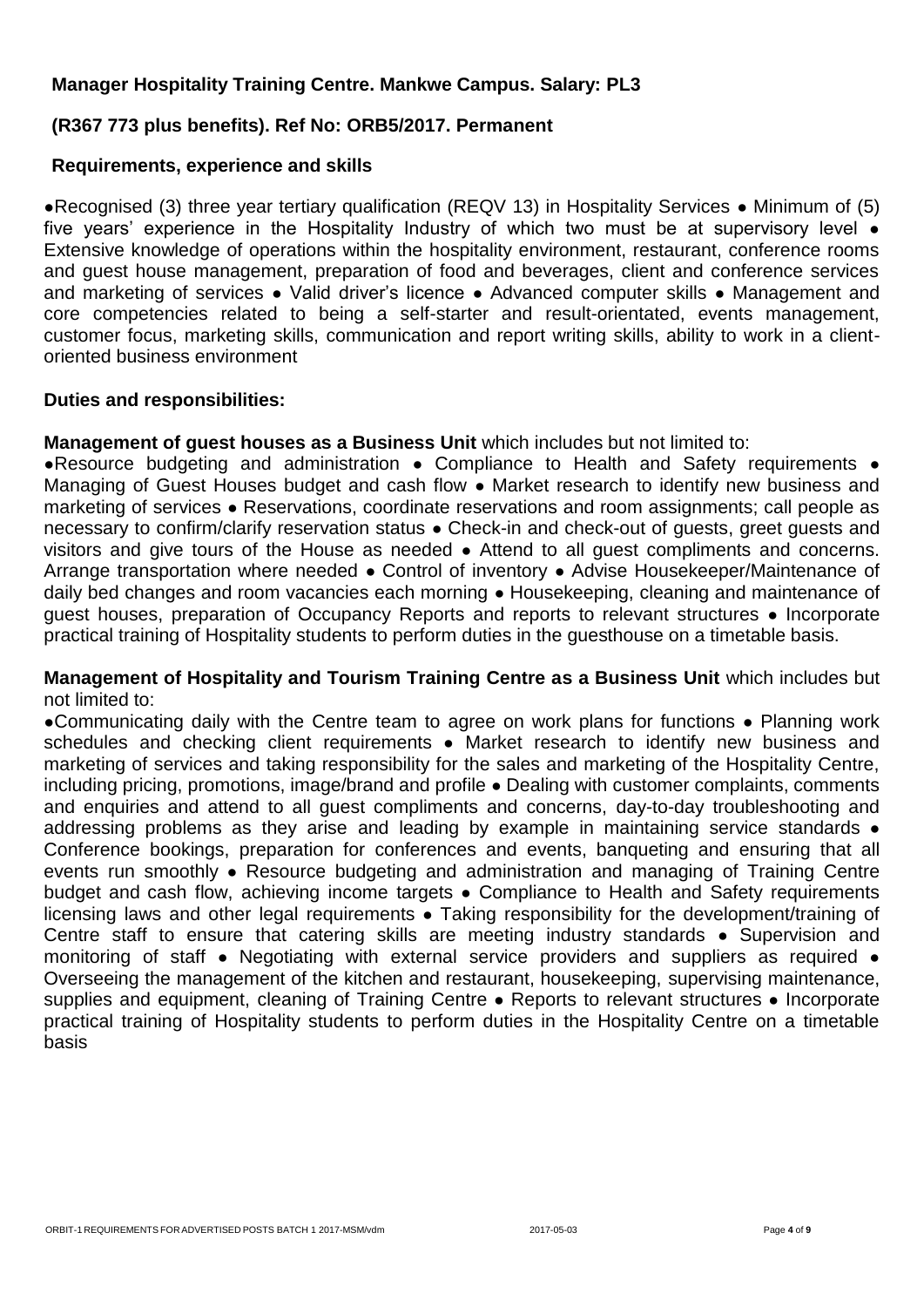# **Manager Hospitality Training Centre. Mankwe Campus. Salary: PL3**

# **(R367 773 plus benefits). Ref No: ORB5/2017. Permanent**

#### **Requirements, experience and skills**

●Recognised (3) three year tertiary qualification (REQV 13) in Hospitality Services ● Minimum of (5) five years' experience in the Hospitality Industry of which two must be at supervisory level  $\bullet$ Extensive knowledge of operations within the hospitality environment, restaurant, conference rooms and guest house management, preparation of food and beverages, client and conference services and marketing of services • Valid driver's licence • Advanced computer skills • Management and core competencies related to being a self-starter and result-orientated, events management, customer focus, marketing skills, communication and report writing skills, ability to work in a clientoriented business environment

#### **Duties and responsibilities:**

**Management of quest houses as a Business Unit** which includes but not limited to:

●Resource budgeting and administration ● Compliance to Health and Safety requirements ● Managing of Guest Houses budget and cash flow • Market research to identify new business and marketing of services ● Reservations, coordinate reservations and room assignments; call people as necessary to confirm/clarify reservation status • Check-in and check-out of guests, greet guests and visitors and give tours of the House as needed ● Attend to all guest compliments and concerns. Arrange transportation where needed ● Control of inventory ● Advise Housekeeper/Maintenance of daily bed changes and room vacancies each morning ● Housekeeping, cleaning and maintenance of guest houses, preparation of Occupancy Reports and reports to relevant structures ● Incorporate practical training of Hospitality students to perform duties in the guesthouse on a timetable basis.

#### **Management of Hospitality and Tourism Training Centre as a Business Unit** which includes but not limited to:

●Communicating daily with the Centre team to agree on work plans for functions ● Planning work schedules and checking client requirements • Market research to identify new business and marketing of services and taking responsibility for the sales and marketing of the Hospitality Centre, including pricing, promotions, image/brand and profile ● Dealing with customer complaints, comments and enquiries and attend to all guest compliments and concerns, day-to-day troubleshooting and addressing problems as they arise and leading by example in maintaining service standards • Conference bookings, preparation for conferences and events, banqueting and ensuring that all events run smoothly • Resource budgeting and administration and managing of Training Centre budget and cash flow, achieving income targets • Compliance to Health and Safety requirements licensing laws and other legal requirements • Taking responsibility for the development/training of Centre staff to ensure that catering skills are meeting industry standards ● Supervision and monitoring of staff ● Negotiating with external service providers and suppliers as required ● Overseeing the management of the kitchen and restaurant, housekeeping, supervising maintenance, supplies and equipment, cleaning of Training Centre • Reports to relevant structures • Incorporate practical training of Hospitality students to perform duties in the Hospitality Centre on a timetable basis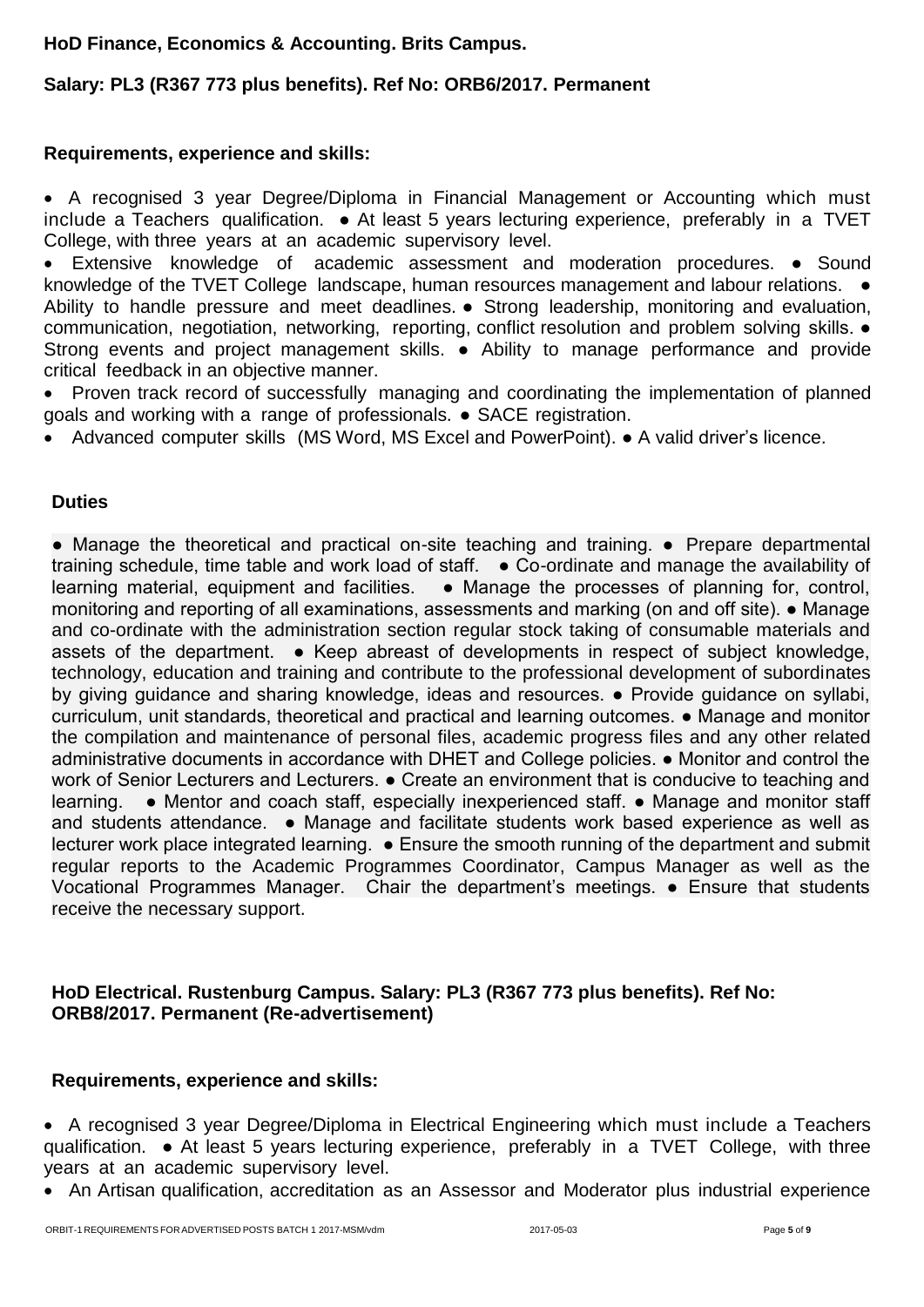# **HoD Finance, Economics & Accounting. Brits Campus.**

# **Salary: PL3 (R367 773 plus benefits). Ref No: ORB6/2017. Permanent**

# **Requirements, experience and skills:**

 A recognised 3 year Degree/Diploma in Financial Management or Accounting which must include a Teachers qualification. ● At least 5 years lecturing experience, preferably in a TVET College, with three years at an academic supervisory level.

 Extensive knowledge of academic assessment and moderation procedures. ● Sound knowledge of the TVET College landscape, human resources management and labour relations.  $\bullet$ Ability to handle pressure and meet deadlines. ● Strong leadership, monitoring and evaluation, communication, negotiation, networking, reporting, conflict resolution and problem solving skills. ● Strong events and project management skills. • Ability to manage performance and provide critical feedback in an objective manner.

• Proven track record of successfully managing and coordinating the implementation of planned goals and working with a range of professionals. ● SACE registration.

Advanced computer skills (MS Word, MS Excel and PowerPoint). ● A valid driver's licence.

# **Duties**

● Manage the theoretical and practical on-site teaching and training. ● Prepare departmental training schedule, time table and work load of staff. ● Co-ordinate and manage the availability of learning material, equipment and facilities. • Manage the processes of planning for, control, monitoring and reporting of all examinations, assessments and marking (on and off site). ● Manage and co-ordinate with the administration section regular stock taking of consumable materials and assets of the department. ● Keep abreast of developments in respect of subject knowledge, technology, education and training and contribute to the professional development of subordinates by giving guidance and sharing knowledge, ideas and resources. • Provide guidance on syllabi, curriculum, unit standards, theoretical and practical and learning outcomes. ● Manage and monitor the compilation and maintenance of personal files, academic progress files and any other related administrative documents in accordance with DHET and College policies. ● Monitor and control the work of Senior Lecturers and Lecturers.  $\bullet$  Create an environment that is conducive to teaching and learning. ● Mentor and coach staff, especially inexperienced staff. ● Manage and monitor staff and students attendance. • Manage and facilitate students work based experience as well as lecturer work place integrated learning. ● Ensure the smooth running of the department and submit regular reports to the Academic Programmes Coordinator, Campus Manager as well as the Vocational Programmes Manager. Chair the department's meetings. ● Ensure that students receive the necessary support.

# **HoD Electrical. Rustenburg Campus. Salary: PL3 (R367 773 plus benefits). Ref No: ORB8/2017. Permanent (Re-advertisement)**

# **Requirements, experience and skills:**

 A recognised 3 year Degree/Diploma in Electrical Engineering which must include a Teachers qualification. ● At least 5 years lecturing experience, preferably in a TVET College, with three years at an academic supervisory level.

• An Artisan qualification, accreditation as an Assessor and Moderator plus industrial experience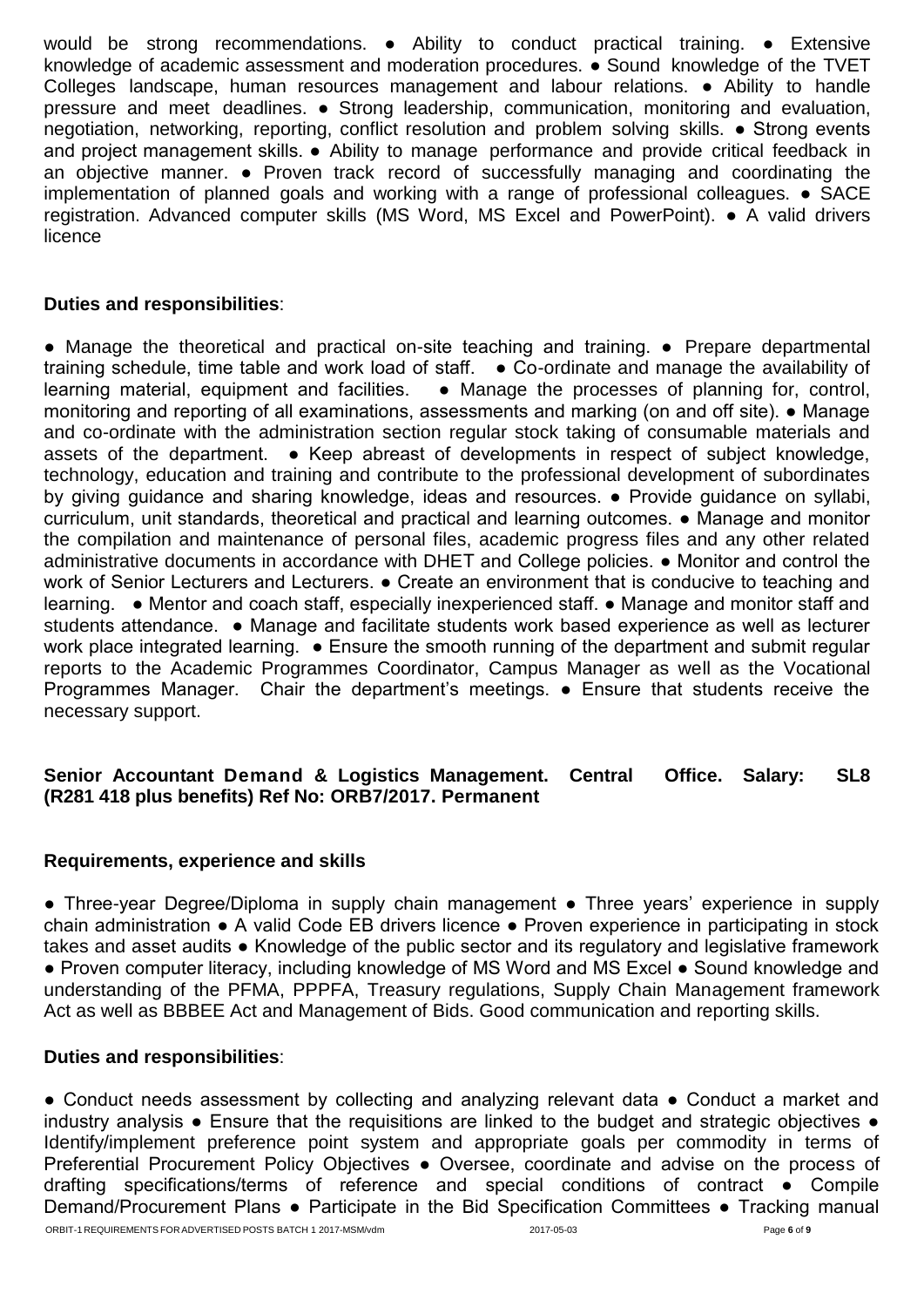would be strong recommendations. • Ability to conduct practical training. • Extensive knowledge of academic assessment and moderation procedures. ● Sound knowledge of the TVET Colleges landscape, human resources management and labour relations. ● Ability to handle pressure and meet deadlines. ● Strong leadership, communication, monitoring and evaluation, negotiation, networking, reporting, conflict resolution and problem solving skills. ● Strong events and project management skills. • Ability to manage performance and provide critical feedback in an objective manner. ● Proven track record of successfully managing and coordinating the implementation of planned goals and working with a range of professional colleagues. ● SACE registration. Advanced computer skills (MS Word, MS Excel and PowerPoint). ● A valid drivers licence

# **Duties and responsibilities**:

● Manage the theoretical and practical on-site teaching and training. ● Prepare departmental training schedule, time table and work load of staff. ● Co-ordinate and manage the availability of learning material, equipment and facilities.  $\bullet$  Manage the processes of planning for, control, monitoring and reporting of all examinations, assessments and marking (on and off site). ● Manage and co-ordinate with the administration section regular stock taking of consumable materials and assets of the department. ● Keep abreast of developments in respect of subject knowledge, technology, education and training and contribute to the professional development of subordinates by giving guidance and sharing knowledge, ideas and resources. ● Provide guidance on syllabi, curriculum, unit standards, theoretical and practical and learning outcomes. ● Manage and monitor the compilation and maintenance of personal files, academic progress files and any other related administrative documents in accordance with DHET and College policies. ● Monitor and control the work of Senior Lecturers and Lecturers.  $\bullet$  Create an environment that is conducive to teaching and learning. ● Mentor and coach staff, especially inexperienced staff. ● Manage and monitor staff and students attendance. ● Manage and facilitate students work based experience as well as lecturer work place integrated learning. ● Ensure the smooth running of the department and submit regular reports to the Academic Programmes Coordinator, Campus Manager as well as the Vocational Programmes Manager. Chair the department's meetings. ● Ensure that students receive the necessary support.

# **Senior Accountant Demand & Logistics Management. Central Office. Salary: SL8 (R281 418 plus benefits) Ref No: ORB7/2017. Permanent**

# **Requirements, experience and skills**

• Three-year Degree/Diploma in supply chain management • Three years' experience in supply chain administration ● A valid Code EB drivers licence ● Proven experience in participating in stock takes and asset audits ● Knowledge of the public sector and its regulatory and legislative framework ● Proven computer literacy, including knowledge of MS Word and MS Excel ● Sound knowledge and understanding of the PFMA, PPPFA, Treasury regulations, Supply Chain Management framework Act as well as BBBEE Act and Management of Bids. Good communication and reporting skills.

# **Duties and responsibilities**:

● Conduct needs assessment by collecting and analyzing relevant data ● Conduct a market and industry analysis ● Ensure that the requisitions are linked to the budget and strategic objectives ● Identify/implement preference point system and appropriate goals per commodity in terms of Preferential Procurement Policy Objectives ● Oversee, coordinate and advise on the process of drafting specifications/terms of reference and special conditions of contract ● Compile Demand/Procurement Plans • Participate in the Bid Specification Committees • Tracking manual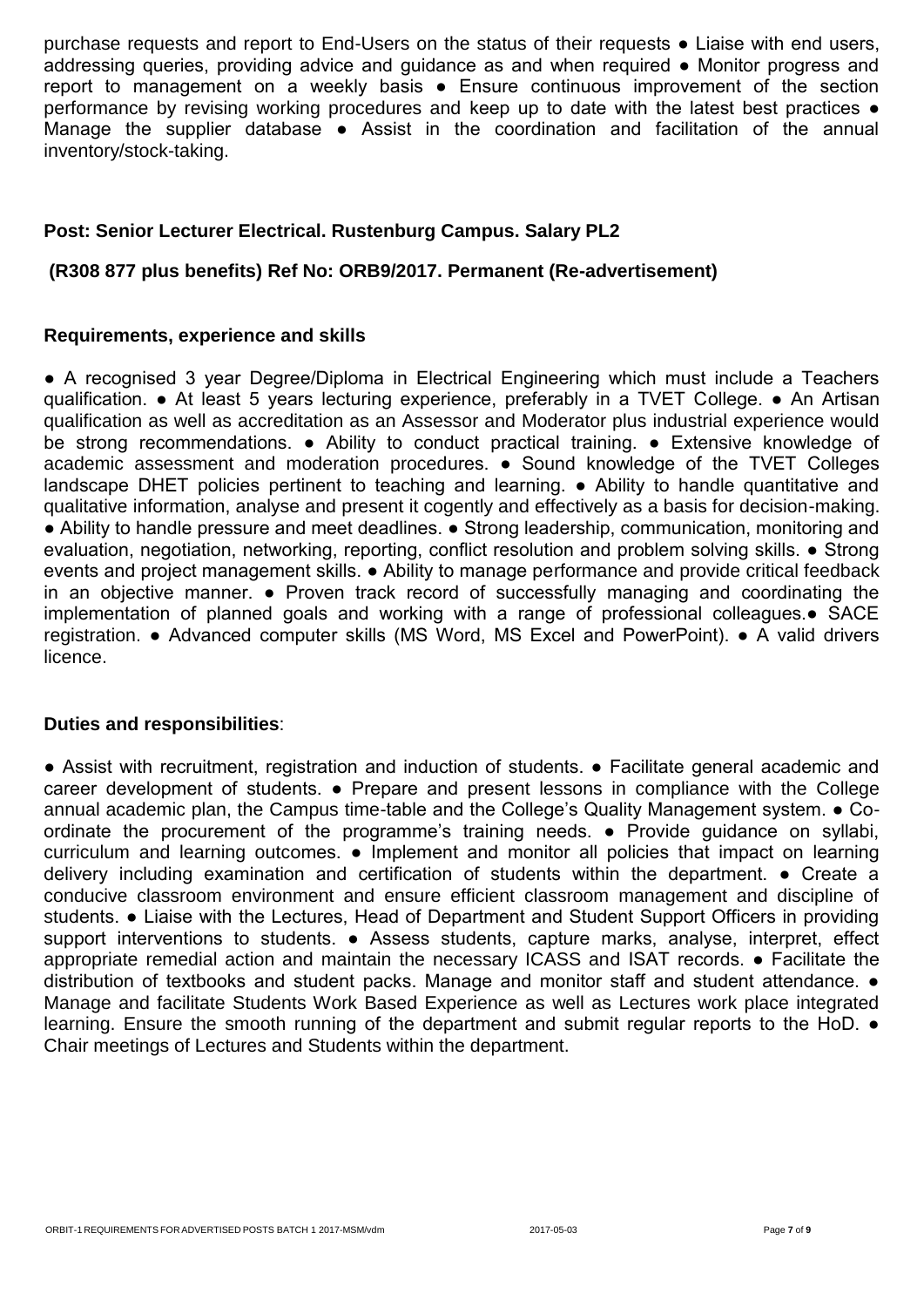purchase requests and report to End-Users on the status of their requests ● Liaise with end users, addressing queries, providing advice and guidance as and when required • Monitor progress and report to management on a weekly basis ● Ensure continuous improvement of the section performance by revising working procedures and keep up to date with the latest best practices ● Manage the supplier database • Assist in the coordination and facilitation of the annual inventory/stock-taking.

# **Post: Senior Lecturer Electrical. Rustenburg Campus. Salary PL2**

# **(R308 877 plus benefits) Ref No: ORB9/2017. Permanent (Re-advertisement)**

#### **Requirements, experience and skills**

● A recognised 3 year Degree/Diploma in Electrical Engineering which must include a Teachers qualification. ● At least 5 years lecturing experience, preferably in a TVET College. ● An Artisan qualification as well as accreditation as an Assessor and Moderator plus industrial experience would be strong recommendations. • Ability to conduct practical training. • Extensive knowledge of academic assessment and moderation procedures. ● Sound knowledge of the TVET Colleges landscape DHET policies pertinent to teaching and learning. ● Ability to handle quantitative and qualitative information, analyse and present it cogently and effectively as a basis for decision-making. ● Ability to handle pressure and meet deadlines. ● Strong leadership, communication, monitoring and evaluation, negotiation, networking, reporting, conflict resolution and problem solving skills. ● Strong events and project management skills. ● Ability to manage performance and provide critical feedback in an objective manner. ● Proven track record of successfully managing and coordinating the implementation of planned goals and working with a range of professional colleagues.● SACE registration. ● Advanced computer skills (MS Word, MS Excel and PowerPoint). ● A valid drivers licence.

# **Duties and responsibilities**:

● Assist with recruitment, registration and induction of students. ● Facilitate general academic and career development of students. ● Prepare and present lessons in compliance with the College annual academic plan, the Campus time-table and the College's Quality Management system. ● Coordinate the procurement of the programme's training needs. ● Provide guidance on syllabi, curriculum and learning outcomes. ● Implement and monitor all policies that impact on learning delivery including examination and certification of students within the department. ● Create a conducive classroom environment and ensure efficient classroom management and discipline of students. ● Liaise with the Lectures, Head of Department and Student Support Officers in providing support interventions to students. • Assess students, capture marks, analyse, interpret, effect appropriate remedial action and maintain the necessary ICASS and ISAT records. ● Facilitate the distribution of textbooks and student packs. Manage and monitor staff and student attendance. ● Manage and facilitate Students Work Based Experience as well as Lectures work place integrated learning. Ensure the smooth running of the department and submit regular reports to the HoD. ● Chair meetings of Lectures and Students within the department.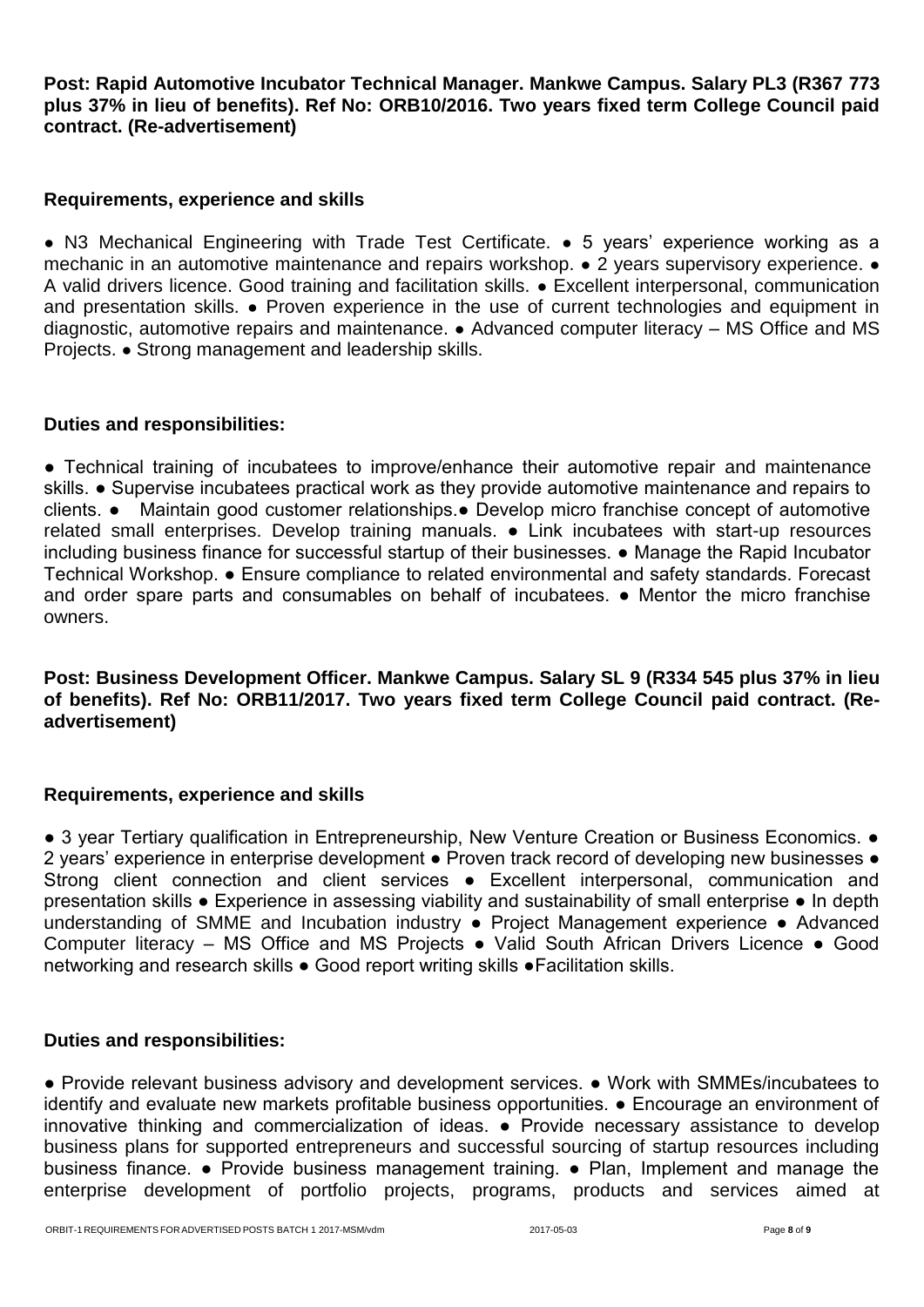**Post: Rapid Automotive Incubator Technical Manager. Mankwe Campus. Salary PL3 (R367 773 plus 37% in lieu of benefits). Ref No: ORB10/2016. Two years fixed term College Council paid contract. (Re-advertisement)**

#### **Requirements, experience and skills**

● N3 Mechanical Engineering with Trade Test Certificate. ● 5 years' experience working as a mechanic in an automotive maintenance and repairs workshop. ● 2 years supervisory experience. ● A valid drivers licence. Good training and facilitation skills. ● Excellent interpersonal, communication and presentation skills. ● Proven experience in the use of current technologies and equipment in diagnostic, automotive repairs and maintenance. ● Advanced computer literacy – MS Office and MS Projects. ● Strong management and leadership skills.

#### **Duties and responsibilities:**

• Technical training of incubatees to improve/enhance their automotive repair and maintenance skills. ● Supervise incubatees practical work as they provide automotive maintenance and repairs to clients. ● Maintain good customer relationships.● Develop micro franchise concept of automotive related small enterprises. Develop training manuals. ● Link incubatees with start-up resources including business finance for successful startup of their businesses. ● Manage the Rapid Incubator Technical Workshop. ● Ensure compliance to related environmental and safety standards. Forecast and order spare parts and consumables on behalf of incubatees. • Mentor the micro franchise owners.

**Post: Business Development Officer. Mankwe Campus. Salary SL 9 (R334 545 plus 37% in lieu of benefits). Ref No: ORB11/2017. Two years fixed term College Council paid contract. (Readvertisement)**

# **Requirements, experience and skills**

● 3 year Tertiary qualification in Entrepreneurship, New Venture Creation or Business Economics. ● 2 years' experience in enterprise development ● Proven track record of developing new businesses ● Strong client connection and client services • Excellent interpersonal, communication and presentation skills ● Experience in assessing viability and sustainability of small enterprise ● In depth understanding of SMME and Incubation industry • Project Management experience • Advanced Computer literacy – MS Office and MS Projects ● Valid South African Drivers Licence ● Good networking and research skills ● Good report writing skills ●Facilitation skills.

# **Duties and responsibilities:**

● Provide relevant business advisory and development services. ● Work with SMMEs/incubatees to identify and evaluate new markets profitable business opportunities. ● Encourage an environment of innovative thinking and commercialization of ideas. ● Provide necessary assistance to develop business plans for supported entrepreneurs and successful sourcing of startup resources including business finance. ● Provide business management training. ● Plan, Implement and manage the enterprise development of portfolio projects, programs, products and services aimed at